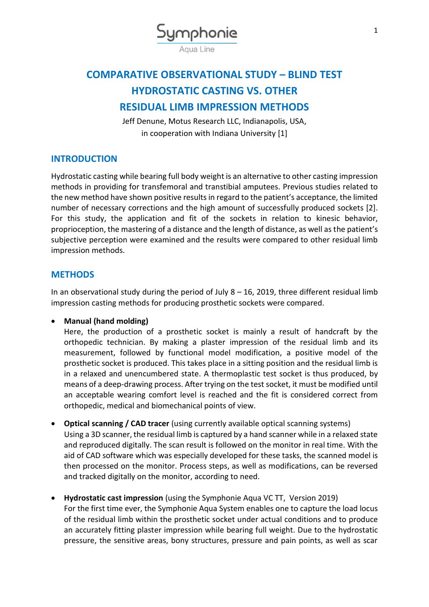

# **COMPARATIVE OBSERVATIONAL STUDY – BLIND TEST HYDROSTATIC CASTING VS. OTHER RESIDUAL LIMB IMPRESSION METHODS**

Jeff Denune, Motus Research LLC, Indianapolis, USA, in cooperation with Indiana University [1]

## **INTRODUCTION**

Hydrostatic casting while bearing full body weight is an alternative to other casting impression methods in providing for transfemoral and transtibial amputees. Previous studies related to the new method have shown positive results in regard to the patient's acceptance, the limited number of necessary corrections and the high amount of successfully produced sockets [2]. For this study, the application and fit of the sockets in relation to kinesic behavior, proprioception, the mastering of a distance and the length of distance, as well as the patient's subjective perception were examined and the results were compared to other residual limb impression methods.

## **METHODS**

In an observational study during the period of July  $8 - 16$ , 2019, three different residual limb impression casting methods for producing prosthetic sockets were compared.

### **Manual (hand molding)**

Here, the production of a prosthetic socket is mainly a result of handcraft by the orthopedic technician. By making a plaster impression of the residual limb and its measurement, followed by functional model modification, a positive model of the prosthetic socket is produced. This takes place in a sitting position and the residual limb is in a relaxed and unencumbered state. A thermoplastic test socket is thus produced, by means of a deep-drawing process. After trying on the test socket, it must be modified until an acceptable wearing comfort level is reached and the fit is considered correct from orthopedic, medical and biomechanical points of view.

- **Optical scanning / CAD tracer** (using currently available optical scanning systems) Using a 3D scanner, the residual limb is captured by a hand scanner while in a relaxed state and reproduced digitally. The scan result is followed on the monitor in real time. With the aid of CAD software which was especially developed for these tasks, the scanned model is then processed on the monitor. Process steps, as well as modifications, can be reversed and tracked digitally on the monitor, according to need.
- **Hydrostatic cast impression** (using the Symphonie Aqua VC TT, Version 2019) For the first time ever, the Symphonie Aqua System enables one to capture the load locus of the residual limb within the prosthetic socket under actual conditions and to produce an accurately fitting plaster impression while bearing full weight. Due to the hydrostatic pressure, the sensitive areas, bony structures, pressure and pain points, as well as scar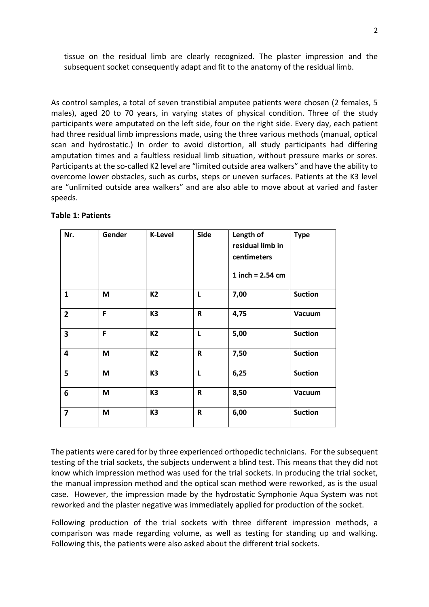tissue on the residual limb are clearly recognized. The plaster impression and the subsequent socket consequently adapt and fit to the anatomy of the residual limb.

As control samples, a total of seven transtibial amputee patients were chosen (2 females, 5 males), aged 20 to 70 years, in varying states of physical condition. Three of the study participants were amputated on the left side, four on the right side. Every day, each patient had three residual limb impressions made, using the three various methods (manual, optical scan and hydrostatic.) In order to avoid distortion, all study participants had differing amputation times and a faultless residual limb situation, without pressure marks or sores. Participants at the so-called K2 level are "limited outside area walkers" and have the ability to overcome lower obstacles, such as curbs, steps or uneven surfaces. Patients at the K3 level are "unlimited outside area walkers" and are also able to move about at varied and faster speeds.

| Nr.                     | Gender | <b>K-Level</b> | <b>Side</b> | Length of<br>residual limb in<br>centimeters<br>1 inch = $2.54$ cm | <b>Type</b>    |
|-------------------------|--------|----------------|-------------|--------------------------------------------------------------------|----------------|
| $\mathbf{1}$            | M      | K <sub>2</sub> | L           | 7,00                                                               | <b>Suction</b> |
| $\overline{2}$          | F      | K <sub>3</sub> | R           | 4,75                                                               | Vacuum         |
| $\overline{\mathbf{3}}$ | F      | K2             | L           | 5,00                                                               | <b>Suction</b> |
| 4                       | M      | K <sub>2</sub> | R           | 7,50                                                               | <b>Suction</b> |
| 5                       | M      | K <sub>3</sub> | L           | 6,25                                                               | <b>Suction</b> |
| 6                       | M      | K <sub>3</sub> | R           | 8,50                                                               | Vacuum         |
| $\overline{7}$          | M      | K <sub>3</sub> | $\mathsf R$ | 6,00                                                               | <b>Suction</b> |

#### **Table 1: Patients**

The patients were cared for by three experienced orthopedic technicians. For the subsequent testing of the trial sockets, the subjects underwent a blind test. This means that they did not know which impression method was used for the trial sockets. In producing the trial socket, the manual impression method and the optical scan method were reworked, as is the usual case. However, the impression made by the hydrostatic Symphonie Aqua System was not reworked and the plaster negative was immediately applied for production of the socket.

Following production of the trial sockets with three different impression methods, a comparison was made regarding volume, as well as testing for standing up and walking. Following this, the patients were also asked about the different trial sockets.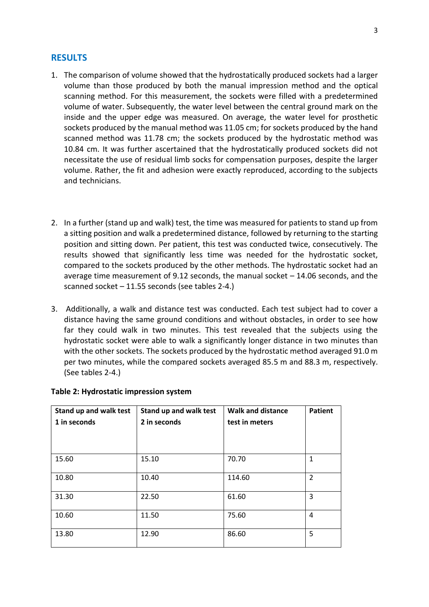#### **RESULTS**

- 1. The comparison of volume showed that the hydrostatically produced sockets had a larger volume than those produced by both the manual impression method and the optical scanning method. For this measurement, the sockets were filled with a predetermined volume of water. Subsequently, the water level between the central ground mark on the inside and the upper edge was measured. On average, the water level for prosthetic sockets produced by the manual method was 11.05 cm; for sockets produced by the hand scanned method was 11.78 cm; the sockets produced by the hydrostatic method was 10.84 cm. It was further ascertained that the hydrostatically produced sockets did not necessitate the use of residual limb socks for compensation purposes, despite the larger volume. Rather, the fit and adhesion were exactly reproduced, according to the subjects and technicians.
- 2. In a further (stand up and walk) test, the time was measured for patients to stand up from a sitting position and walk a predetermined distance, followed by returning to the starting position and sitting down. Per patient, this test was conducted twice, consecutively. The results showed that significantly less time was needed for the hydrostatic socket, compared to the sockets produced by the other methods. The hydrostatic socket had an average time measurement of 9.12 seconds, the manual socket  $-14.06$  seconds, and the scanned socket – 11.55 seconds (see tables 2-4.)
- 3. Additionally, a walk and distance test was conducted. Each test subject had to cover a distance having the same ground conditions and without obstacles, in order to see how far they could walk in two minutes. This test revealed that the subjects using the hydrostatic socket were able to walk a significantly longer distance in two minutes than with the other sockets. The sockets produced by the hydrostatic method averaged 91.0 m per two minutes, while the compared sockets averaged 85.5 m and 88.3 m, respectively. (See tables 2-4.)

| Stand up and walk test<br>1 in seconds | Stand up and walk test<br>2 in seconds | <b>Walk and distance</b><br>test in meters | <b>Patient</b> |
|----------------------------------------|----------------------------------------|--------------------------------------------|----------------|
| 15.60                                  | 15.10                                  | 70.70                                      | $\mathbf{1}$   |
| 10.80                                  | 10.40                                  | 114.60                                     | 2              |
| 31.30                                  | 22.50                                  | 61.60                                      | 3              |
| 10.60                                  | 11.50                                  | 75.60                                      | 4              |
| 13.80                                  | 12.90                                  | 86.60                                      | 5              |

#### **Table 2: Hydrostatic impression system**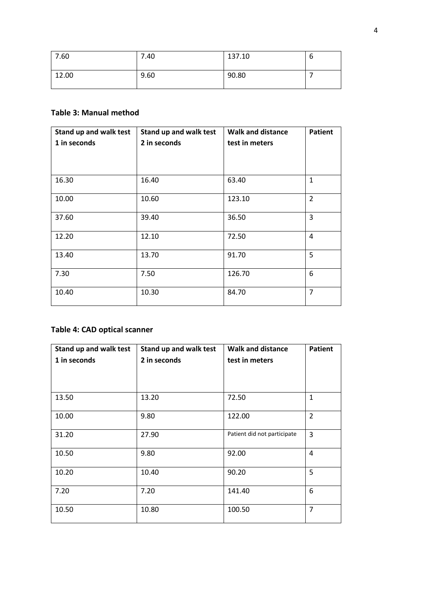| 7.60  | 7.40 | 137.10 | u |
|-------|------|--------|---|
| 12.00 | 9.60 | 90.80  |   |

## **Table 3: Manual method**

| Stand up and walk test | Stand up and walk test | <b>Walk and distance</b> | <b>Patient</b> |
|------------------------|------------------------|--------------------------|----------------|
| 1 in seconds           | 2 in seconds           | test in meters           |                |
|                        |                        |                          |                |
| 16.30                  | 16.40                  | 63.40                    | $\mathbf{1}$   |
| 10.00                  | 10.60                  | 123.10                   | $\overline{2}$ |
| 37.60                  | 39.40                  | 36.50                    | 3              |
| 12.20                  | 12.10                  | 72.50                    | 4              |
| 13.40                  | 13.70                  | 91.70                    | 5              |
| 7.30                   | 7.50                   | 126.70                   | 6              |
| 10.40                  | 10.30                  | 84.70                    | $\overline{7}$ |

## **Table 4: CAD optical scanner**

| Stand up and walk test | Stand up and walk test | <b>Walk and distance</b>    | <b>Patient</b> |
|------------------------|------------------------|-----------------------------|----------------|
| 1 in seconds           | 2 in seconds           | test in meters              |                |
|                        |                        |                             |                |
| 13.50                  | 13.20                  | 72.50                       | $\mathbf{1}$   |
| 10.00                  | 9.80                   | 122.00                      | $\overline{2}$ |
| 31.20                  | 27.90                  | Patient did not participate | 3              |
| 10.50                  | 9.80                   | 92.00                       | 4              |
| 10.20                  | 10.40                  | 90.20                       | 5              |
| 7.20                   | 7.20                   | 141.40                      | 6              |
| 10.50                  | 10.80                  | 100.50                      | $\overline{7}$ |